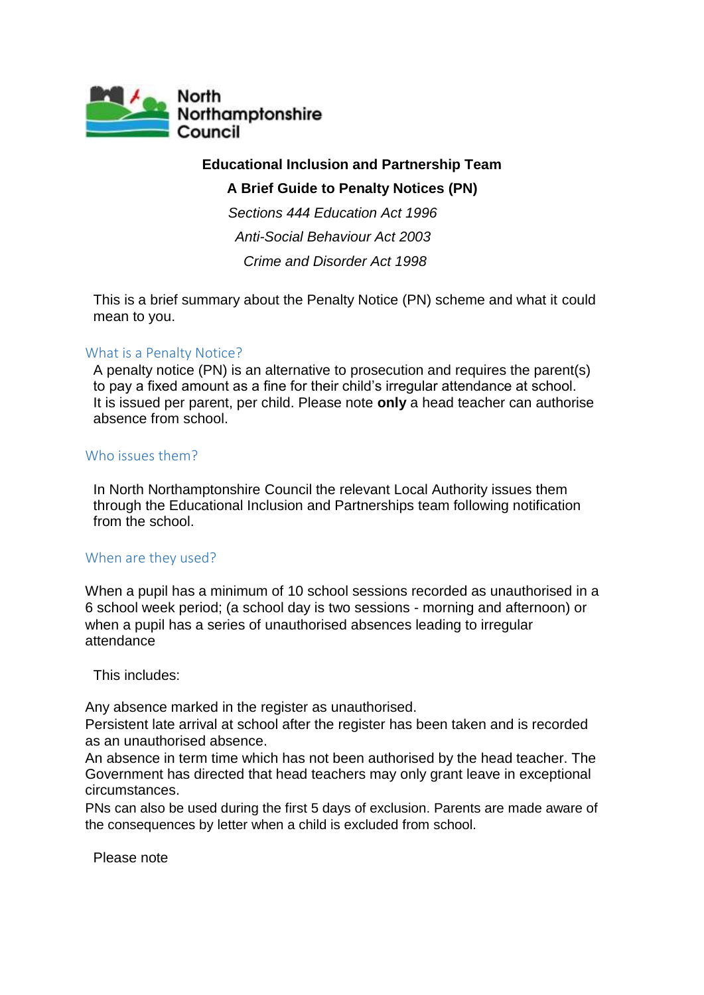

# **Educational Inclusion and Partnership Team**

# **A Brief Guide to Penalty Notices (PN)**

*Sections 444 Education Act 1996 Anti-Social Behaviour Act 2003 Crime and Disorder Act 1998*

This is a brief summary about the Penalty Notice (PN) scheme and what it could mean to you.

## What is a Penalty Notice?

A penalty notice (PN) is an alternative to prosecution and requires the parent(s) to pay a fixed amount as a fine for their child's irregular attendance at school. It is issued per parent, per child. Please note **only** a head teacher can authorise absence from school.

## Who issues them?

In North Northamptonshire Council the relevant Local Authority issues them through the Educational Inclusion and Partnerships team following notification from the school.

## When are they used?

When a pupil has a minimum of 10 school sessions recorded as unauthorised in a 6 school week period; (a school day is two sessions - morning and afternoon) or when a pupil has a series of unauthorised absences leading to irregular attendance

This includes:

Any absence marked in the register as unauthorised.

Persistent late arrival at school after the register has been taken and is recorded as an unauthorised absence.

An absence in term time which has not been authorised by the head teacher. The Government has directed that head teachers may only grant leave in exceptional circumstances.

PNs can also be used during the first 5 days of exclusion. Parents are made aware of the consequences by letter when a child is excluded from school.

Please note